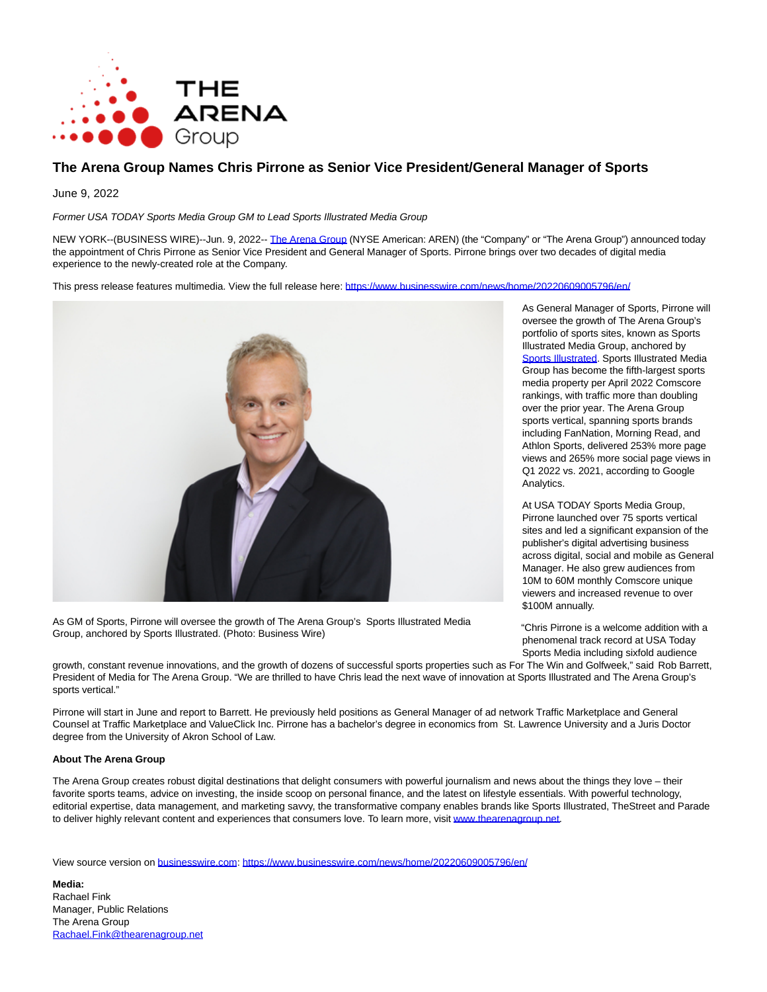

## **The Arena Group Names Chris Pirrone as Senior Vice President/General Manager of Sports**

June 9, 2022

Former USA TODAY Sports Media Group GM to Lead Sports Illustrated Media Group

NEW YORK--(BUSINESS WIRE)--Jun. 9, 2022-- [The Arena Group \(](https://cts.businesswire.com/ct/CT?id=smartlink&url=https%3A%2F%2Fthearenagroup.net%2F&esheet=52745037&newsitemid=20220609005796&lan=en-US&anchor=The+Arena+Group&index=1&md5=e56590a84ae1732e2186aeb0d2c07679)NYSE American: AREN) (the "Company" or "The Arena Group") announced today the appointment of Chris Pirrone as Senior Vice President and General Manager of Sports. Pirrone brings over two decades of digital media experience to the newly-created role at the Company.

This press release features multimedia. View the full release here:<https://www.businesswire.com/news/home/20220609005796/en/>



As GM of Sports, Pirrone will oversee the growth of The Arena Group's Sports Illustrated Media Group, anchored by Sports Illustrated. (Photo: Business Wire)

As General Manager of Sports, Pirrone will oversee the growth of The Arena Group's portfolio of sports sites, known as Sports Illustrated Media Group, anchored by [Sports Illustrated.](https://cts.businesswire.com/ct/CT?id=smartlink&url=http%3A%2F%2Fwww.si.com&esheet=52745037&newsitemid=20220609005796&lan=en-US&anchor=Sports+Illustrated&index=2&md5=14781a162d1e2a8fbb561bd7fb92b3a5) Sports Illustrated Media Group has become the fifth-largest sports media property per April 2022 Comscore rankings, with traffic more than doubling over the prior year. The Arena Group sports vertical, spanning sports brands including FanNation, Morning Read, and Athlon Sports, delivered 253% more page views and 265% more social page views in Q1 2022 vs. 2021, according to Google Analytics.

At USA TODAY Sports Media Group, Pirrone launched over 75 sports vertical sites and led a significant expansion of the publisher's digital advertising business across digital, social and mobile as General Manager. He also grew audiences from 10M to 60M monthly Comscore unique viewers and increased revenue to over \$100M annually.

"Chris Pirrone is a welcome addition with a phenomenal track record at USA Today Sports Media including sixfold audience

growth, constant revenue innovations, and the growth of dozens of successful sports properties such as For The Win and Golfweek," said Rob Barrett, President of Media for The Arena Group. "We are thrilled to have Chris lead the next wave of innovation at Sports Illustrated and The Arena Group's sports vertical."

Pirrone will start in June and report to Barrett. He previously held positions as General Manager of ad network Traffic Marketplace and General Counsel at Traffic Marketplace and ValueClick Inc. Pirrone has a bachelor's degree in economics from St. Lawrence University and a Juris Doctor degree from the University of Akron School of Law.

## **About The Arena Group**

The Arena Group creates robust digital destinations that delight consumers with powerful journalism and news about the things they love – their favorite sports teams, advice on investing, the inside scoop on personal finance, and the latest on lifestyle essentials. With powerful technology, editorial expertise, data management, and marketing savvy, the transformative company enables brands like Sports Illustrated, TheStreet and Parade to deliver highly relevant content and experiences that consumers love. To learn more, visi[t www.thearenagroup.net.](https://cts.businesswire.com/ct/CT?id=smartlink&url=https%3A%2F%2Fthearenagroup.net%2F&esheet=52745037&newsitemid=20220609005796&lan=en-US&anchor=www.thearenagroup.net&index=3&md5=f8edd3fcbcc2f6a31f429c42a81e1f9e)

View source version on [businesswire.com:](http://businesswire.com/)<https://www.businesswire.com/news/home/20220609005796/en/>

**Media:** Rachael Fink Manager, Public Relations The Arena Group [Rachael.Fink@thearenagroup.net](mailto:Rachael.Fink@thearenagroup.net)